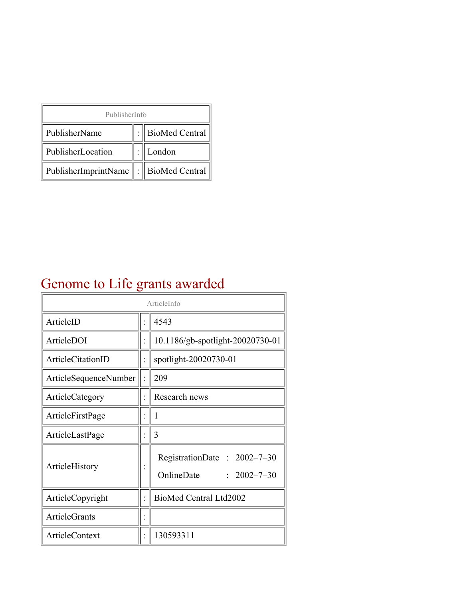| PublisherInfo                                   |  |                    |  |  |
|-------------------------------------------------|--|--------------------|--|--|
| PublisherName                                   |  | :   BioMed Central |  |  |
| PublisherLocation                               |  | London             |  |  |
| PublisherImprintName $\ \cdot\ $ BioMed Central |  |                    |  |  |

## Genome to Life grants awarded

| ArticleInfo           |  |                                                                |
|-----------------------|--|----------------------------------------------------------------|
| ArticleID             |  | 4543                                                           |
| ArticleDOI            |  | 10.1186/gb-spotlight-20020730-01                               |
| ArticleCitationID     |  | spotlight-20020730-01                                          |
| ArticleSequenceNumber |  | 209                                                            |
| ArticleCategory       |  | Research news                                                  |
| ArticleFirstPage      |  |                                                                |
| ArticleLastPage       |  | 3                                                              |
| ArticleHistory        |  | RegistrationDate: 2002-7-30<br>OnlineDate<br>$: 2002 - 7 - 30$ |
| ArticleCopyright      |  | BioMed Central Ltd2002                                         |
| <b>ArticleGrants</b>  |  |                                                                |
| ArticleContext        |  | 130593311                                                      |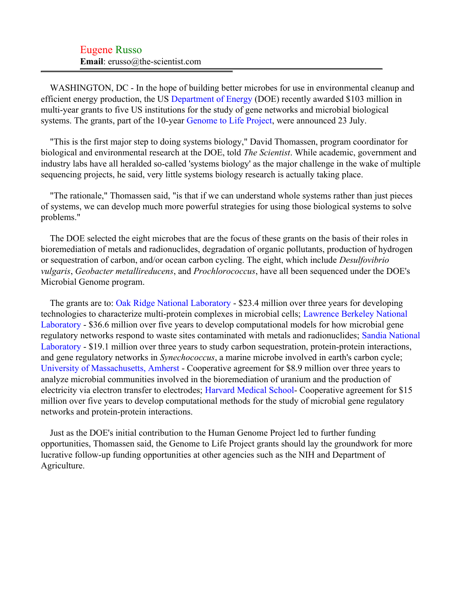## Eugene Russo **Email**: erusso@the-scientist.com

WASHINGTON, DC - In the hope of building better microbes for use in environmental cleanup and efficient energy production, the US [Department of Energy](#page-2-0) (DOE) recently awarded \$103 million in multi-year grants to five US institutions for the study of gene networks and microbial biological systems. The grants, part of the 10-year [Genome to Life Project,](#page-2-1) were announced 23 July.

"This is the first major step to doing systems biology," David Thomassen, program coordinator for biological and environmental research at the DOE, told *The Scientist*. While academic, government and industry labs have all heralded so-called 'systems biology' as the major challenge in the wake of multiple sequencing projects, he said, very little systems biology research is actually taking place.

"The rationale," Thomassen said, "is that if we can understand whole systems rather than just pieces of systems, we can develop much more powerful strategies for using those biological systems to solve problems."

The DOE selected the eight microbes that are the focus of these grants on the basis of their roles in bioremediation of metals and radionuclides, degradation of organic pollutants, production of hydrogen or sequestration of carbon, and/or ocean carbon cycling. The eight, which include *Desulfovibrio vulgaris*, *Geobacter metallireducens*, and *Prochlorococcus*, have all been sequenced under the DOE's Microbial Genome program.

The grants are to: [Oak Ridge National Laboratory](#page-2-2) - \$23.4 million over three years for developing technologies to characterize multi-protein complexes in microbial cells; [Lawrence Berkeley National](#page-2-3) [Laboratory](#page-2-3) - \$36.6 million over five years to develop computational models for how microbial gene regulatory networks respond to waste sites contaminated with metals and radionuclides; [Sandia National](#page-2-4) [Laboratory](#page-2-4) - \$19.1 million over three years to study carbon sequestration, protein-protein interactions, and gene regulatory networks in *Synechococcus*, a marine microbe involved in earth's carbon cycle; [University of Massachusetts, Amherst](#page-2-5) - Cooperative agreement for \$8.9 million over three years to analyze microbial communities involved in the bioremediation of uranium and the production of electricity via electron transfer to electrodes; [Harvard Medical School](#page-2-6)- Cooperative agreement for \$15 million over five years to develop computational methods for the study of microbial gene regulatory networks and protein-protein interactions.

Just as the DOE's initial contribution to the Human Genome Project led to further funding opportunities, Thomassen said, the Genome to Life Project grants should lay the groundwork for more lucrative follow-up funding opportunities at other agencies such as the NIH and Department of Agriculture.